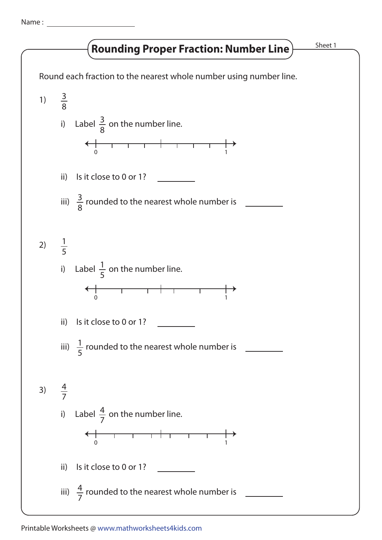Name :

## **Rounding Proper Fraction: Number Line**) Sheet 1